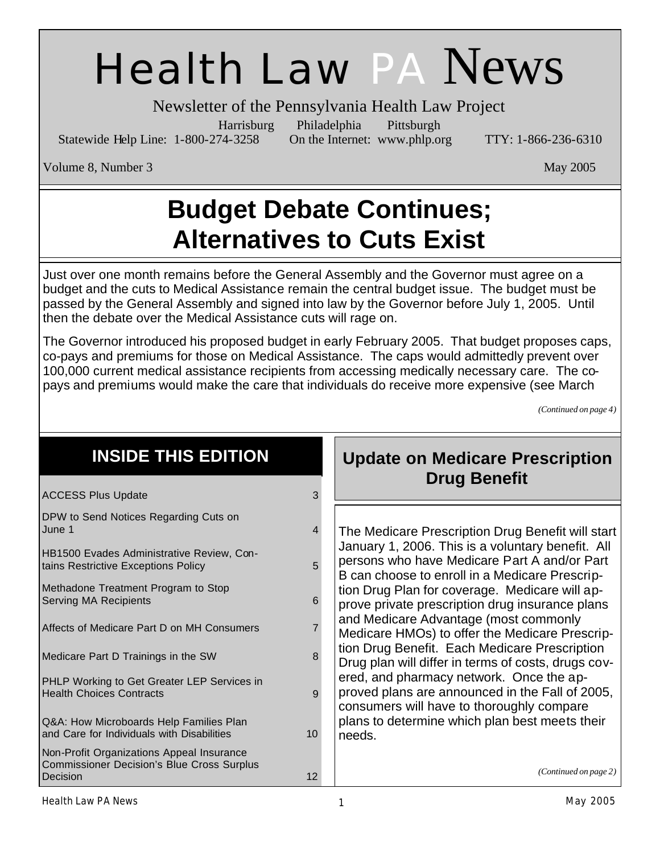# Health Law PA News

Newsletter of the Pennsylvania Health Law Project

Statewide Help Line: 1-800-274-3258 On the Internet: www.phlp.org TTY: 1-866-236-6310

Harrisburg Philadelphia Pittsburgh

Volume 8, Number 3 May 2005

## **Budget Debate Continues; Alternatives to Cuts Exist**

Just over one month remains before the General Assembly and the Governor must agree on a budget and the cuts to Medical Assistance remain the central budget issue. The budget must be passed by the General Assembly and signed into law by the Governor before July 1, 2005. Until then the debate over the Medical Assistance cuts will rage on.

The Governor introduced his proposed budget in early February 2005. That budget proposes caps, co-pays and premiums for those on Medical Assistance. The caps would admittedly prevent over 100,000 current medical assistance recipients from accessing medically necessary care. The copays and premiums would make the care that individuals do receive more expensive (see March

*(Continued on page 4)*

| <b>INSIDE THIS EDITION</b>                                                                                 |                | <b>Update on Medicare Prescription</b>                                                                                                                                                                                                                                                                                                                                                                                                                                                                                                                                                                                                                                                                                   |
|------------------------------------------------------------------------------------------------------------|----------------|--------------------------------------------------------------------------------------------------------------------------------------------------------------------------------------------------------------------------------------------------------------------------------------------------------------------------------------------------------------------------------------------------------------------------------------------------------------------------------------------------------------------------------------------------------------------------------------------------------------------------------------------------------------------------------------------------------------------------|
| <b>ACCESS Plus Update</b>                                                                                  | 3              | <b>Drug Benefit</b>                                                                                                                                                                                                                                                                                                                                                                                                                                                                                                                                                                                                                                                                                                      |
| DPW to Send Notices Regarding Cuts on<br>June 1                                                            | 4              | The Medicare Prescription Drug Benefit will start<br>January 1, 2006. This is a voluntary benefit. All<br>persons who have Medicare Part A and/or Part<br>B can choose to enroll in a Medicare Prescrip-<br>tion Drug Plan for coverage. Medicare will ap-<br>prove private prescription drug insurance plans<br>and Medicare Advantage (most commonly<br>Medicare HMOs) to offer the Medicare Prescrip-<br>tion Drug Benefit. Each Medicare Prescription<br>Drug plan will differ in terms of costs, drugs cov-<br>ered, and pharmacy network. Once the ap-<br>proved plans are announced in the Fall of 2005,<br>consumers will have to thoroughly compare<br>plans to determine which plan best meets their<br>needs. |
| HB1500 Evades Administrative Review, Con-<br>tains Restrictive Exceptions Policy                           | 5              |                                                                                                                                                                                                                                                                                                                                                                                                                                                                                                                                                                                                                                                                                                                          |
| Methadone Treatment Program to Stop<br><b>Serving MA Recipients</b>                                        | 6              |                                                                                                                                                                                                                                                                                                                                                                                                                                                                                                                                                                                                                                                                                                                          |
| Affects of Medicare Part D on MH Consumers                                                                 | $\overline{7}$ |                                                                                                                                                                                                                                                                                                                                                                                                                                                                                                                                                                                                                                                                                                                          |
| Medicare Part D Trainings in the SW                                                                        | 8              |                                                                                                                                                                                                                                                                                                                                                                                                                                                                                                                                                                                                                                                                                                                          |
| PHLP Working to Get Greater LEP Services in<br><b>Health Choices Contracts</b>                             | 9              |                                                                                                                                                                                                                                                                                                                                                                                                                                                                                                                                                                                                                                                                                                                          |
| Q&A: How Microboards Help Families Plan<br>and Care for Individuals with Disabilities                      | 10             |                                                                                                                                                                                                                                                                                                                                                                                                                                                                                                                                                                                                                                                                                                                          |
| Non-Profit Organizations Appeal Insurance<br><b>Commissioner Decision's Blue Cross Surplus</b><br>Decision | 12             | (Continued on page 2)                                                                                                                                                                                                                                                                                                                                                                                                                                                                                                                                                                                                                                                                                                    |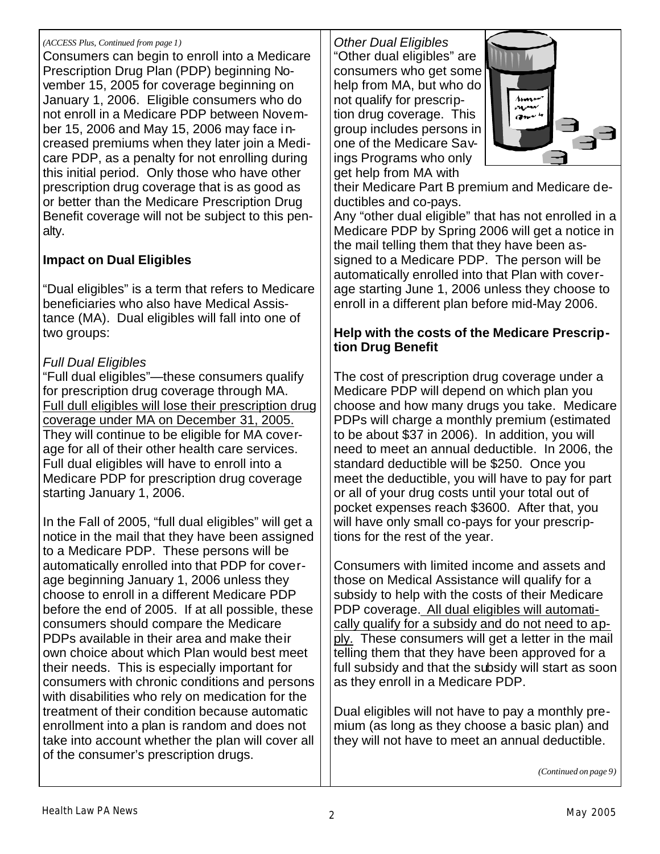#### *(ACCESS Plus, Continued from page 1)*

Consumers can begin to enroll into a Medicare Prescription Drug Plan (PDP) beginning November 15, 2005 for coverage beginning on January 1, 2006. Eligible consumers who do not enroll in a Medicare PDP between November 15, 2006 and May 15, 2006 may face increased premiums when they later join a Medicare PDP, as a penalty for not enrolling during this initial period. Only those who have other prescription drug coverage that is as good as or better than the Medicare Prescription Drug Benefit coverage will not be subject to this penalty.

### **Impact on Dual Eligibles**

"Dual eligibles" is a term that refers to Medicare beneficiaries who also have Medical Assistance (MA). Dual eligibles will fall into one of two groups:

### *Full Dual Eligibles*

"Full dual eligibles"—these consumers qualify for prescription drug coverage through MA. Full dull eligibles will lose their prescription drug coverage under MA on December 31, 2005. They will continue to be eligible for MA coverage for all of their other health care services. Full dual eligibles will have to enroll into a Medicare PDP for prescription drug coverage starting January 1, 2006.

In the Fall of 2005, "full dual eligibles" will get a notice in the mail that they have been assigned to a Medicare PDP. These persons will be automatically enrolled into that PDP for coverage beginning January 1, 2006 unless they choose to enroll in a different Medicare PDP before the end of 2005. If at all possible, these consumers should compare the Medicare PDPs available in their area and make their own choice about which Plan would best meet their needs. This is especially important for consumers with chronic conditions and persons with disabilities who rely on medication for the treatment of their condition because automatic enrollment into a plan is random and does not take into account whether the plan will cover all of the consumer's prescription drugs.

*Other Dual Eligibles* "Other dual eligibles" are consumers who get some help from MA, but who do not qualify for prescription drug coverage. This group includes persons in one of the Medicare Savings Programs who only get help from MA with



their Medicare Part B premium and Medicare deductibles and co-pays.

Any "other dual eligible" that has not enrolled in a Medicare PDP by Spring 2006 will get a notice in the mail telling them that they have been assigned to a Medicare PDP. The person will be automatically enrolled into that Plan with coverage starting June 1, 2006 unless they choose to enroll in a different plan before mid-May 2006.

### **Help with the costs of the Medicare Prescription Drug Benefit**

The cost of prescription drug coverage under a Medicare PDP will depend on which plan you choose and how many drugs you take. Medicare PDPs will charge a monthly premium (estimated to be about \$37 in 2006). In addition, you will need to meet an annual deductible. In 2006, the standard deductible will be \$250. Once you meet the deductible, you will have to pay for part or all of your drug costs until your total out of pocket expenses reach \$3600. After that, you will have only small co-pays for your prescriptions for the rest of the year.

Consumers with limited income and assets and those on Medical Assistance will qualify for a subsidy to help with the costs of their Medicare PDP coverage. All dual eligibles will automatically qualify for a subsidy and do not need to apply. These consumers will get a letter in the mail telling them that they have been approved for a full subsidy and that the subsidy will start as soon as they enroll in a Medicare PDP.

Dual eligibles will not have to pay a monthly premium (as long as they choose a basic plan) and they will not have to meet an annual deductible.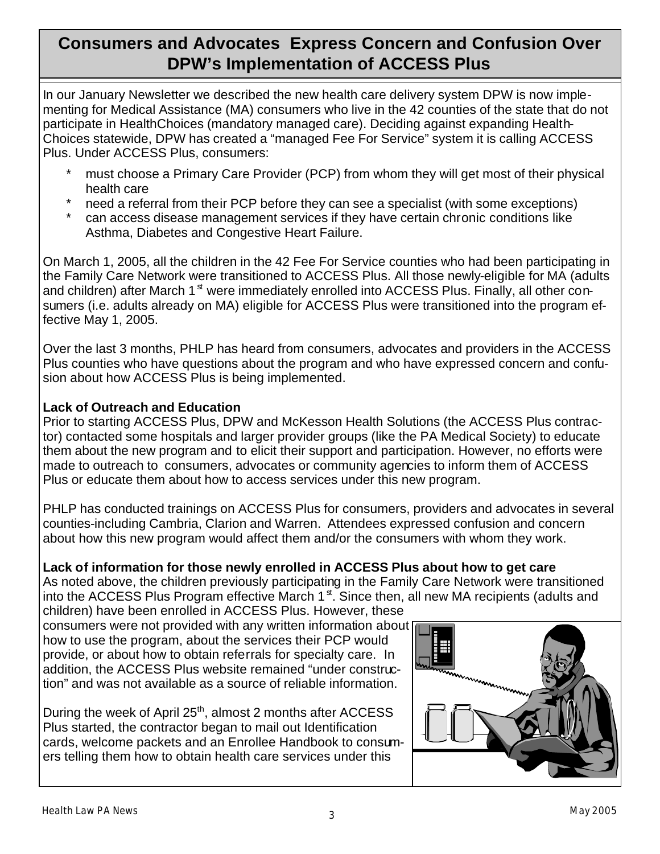### **Consumers and Advocates Express Concern and Confusion Over DPW's Implementation of ACCESS Plus**

In our January Newsletter we described the new health care delivery system DPW is now implementing for Medical Assistance (MA) consumers who live in the 42 counties of the state that do not participate in HealthChoices (mandatory managed care). Deciding against expanding Health-Choices statewide, DPW has created a "managed Fee For Service" system it is calling ACCESS Plus. Under ACCESS Plus, consumers:

- must choose a Primary Care Provider (PCP) from whom they will get most of their physical health care
- heed a referral from their PCP before they can see a specialist (with some exceptions)
- can access disease management services if they have certain chronic conditions like Asthma, Diabetes and Congestive Heart Failure.

On March 1, 2005, all the children in the 42 Fee For Service counties who had been participating in the Family Care Network were transitioned to ACCESS Plus. All those newly-eligible for MA (adults and children) after March  $1<sup>st</sup>$  were immediately enrolled into ACCESS Plus. Finally, all other consumers (i.e. adults already on MA) eligible for ACCESS Plus were transitioned into the program effective May 1, 2005.

Over the last 3 months, PHLP has heard from consumers, advocates and providers in the ACCESS Plus counties who have questions about the program and who have expressed concern and confusion about how ACCESS Plus is being implemented.

### **Lack of Outreach and Education**

Prior to starting ACCESS Plus, DPW and McKesson Health Solutions (the ACCESS Plus contractor) contacted some hospitals and larger provider groups (like the PA Medical Society) to educate them about the new program and to elicit their support and participation. However, no efforts were made to outreach to consumers, advocates or community agencies to inform them of ACCESS Plus or educate them about how to access services under this new program.

PHLP has conducted trainings on ACCESS Plus for consumers, providers and advocates in several counties-including Cambria, Clarion and Warren. Attendees expressed confusion and concern about how this new program would affect them and/or the consumers with whom they work.

### **Lack of information for those newly enrolled in ACCESS Plus about how to get care**

As noted above, the children previously participating in the Family Care Network were transitioned into the ACCESS Plus Program effective March  $1<sup>st</sup>$ . Since then, all new MA recipients (adults and

children) have been enrolled in ACCESS Plus. However, these consumers were not provided with any written information about how to use the program, about the services their PCP would provide, or about how to obtain referrals for specialty care. In addition, the ACCESS Plus website remained "under construction" and was not available as a source of reliable information.

During the week of April 25<sup>th</sup>, almost 2 months after ACCESS Plus started, the contractor began to mail out Identification cards, welcome packets and an Enrollee Handbook to consumers telling them how to obtain health care services under this

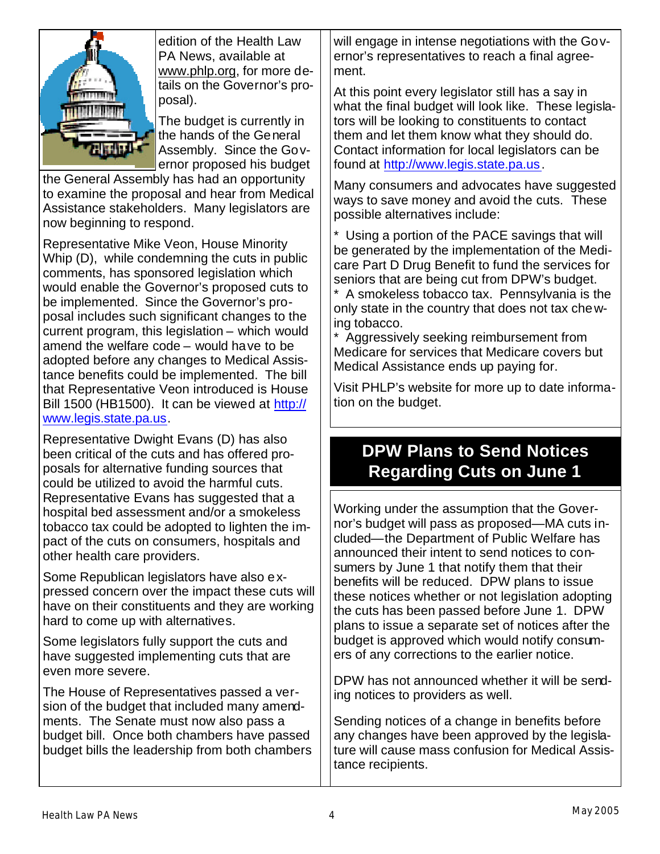

edition of the Health Law PA News, available at www.phlp.org, for more details on the Governor's proposal).

The budget is currently in the hands of the General Assembly. Since the Governor proposed his budget

the General Assembly has had an opportunity to examine the proposal and hear from Medical Assistance stakeholders. Many legislators are now beginning to respond.

Representative Mike Veon, House Minority Whip (D), while condemning the cuts in public comments, has sponsored legislation which would enable the Governor's proposed cuts to be implemented. Since the Governor's proposal includes such significant changes to the current program, this legislation – which would amend the welfare code – would have to be adopted before any changes to Medical Assistance benefits could be implemented. The bill that Representative Veon introduced is House Bill 1500 (HB1500). It can be viewed at http:// www.legis.state.pa.us.

Representative Dwight Evans (D) has also been critical of the cuts and has offered proposals for alternative funding sources that could be utilized to avoid the harmful cuts. Representative Evans has suggested that a hospital bed assessment and/or a smokeless tobacco tax could be adopted to lighten the impact of the cuts on consumers, hospitals and other health care providers.

Some Republican legislators have also expressed concern over the impact these cuts will have on their constituents and they are working hard to come up with alternatives.

Some legislators fully support the cuts and have suggested implementing cuts that are even more severe.

The House of Representatives passed a version of the budget that included many amendments. The Senate must now also pass a budget bill. Once both chambers have passed budget bills the leadership from both chambers will engage in intense negotiations with the Governor's representatives to reach a final agreement.

At this point every legislator still has a say in what the final budget will look like. These legislators will be looking to constituents to contact them and let them know what they should do. Contact information for local legislators can be found at http://www.legis.state.pa.us.

Many consumers and advocates have suggested ways to save money and avoid the cuts. These possible alternatives include:

\* Using a portion of the PACE savings that will be generated by the implementation of the Medicare Part D Drug Benefit to fund the services for seniors that are being cut from DPW's budget.

\* A smokeless tobacco tax. Pennsylvania is the only state in the country that does not tax chewing tobacco.

\* Aggressively seeking reimbursement from Medicare for services that Medicare covers but Medical Assistance ends up paying for.

Visit PHLP's website for more up to date information on the budget.

### **DPW Plans to Send Notices Regarding Cuts on June 1**

Working under the assumption that the Governor's budget will pass as proposed—MA cuts included—the Department of Public Welfare has announced their intent to send notices to consumers by June 1 that notify them that their benefits will be reduced. DPW plans to issue these notices whether or not legislation adopting the cuts has been passed before June 1. DPW plans to issue a separate set of notices after the budget is approved which would notify consumers of any corrections to the earlier notice.

DPW has not announced whether it will be sending notices to providers as well.

Sending notices of a change in benefits before any changes have been approved by the legislature will cause mass confusion for Medical Assistance recipients.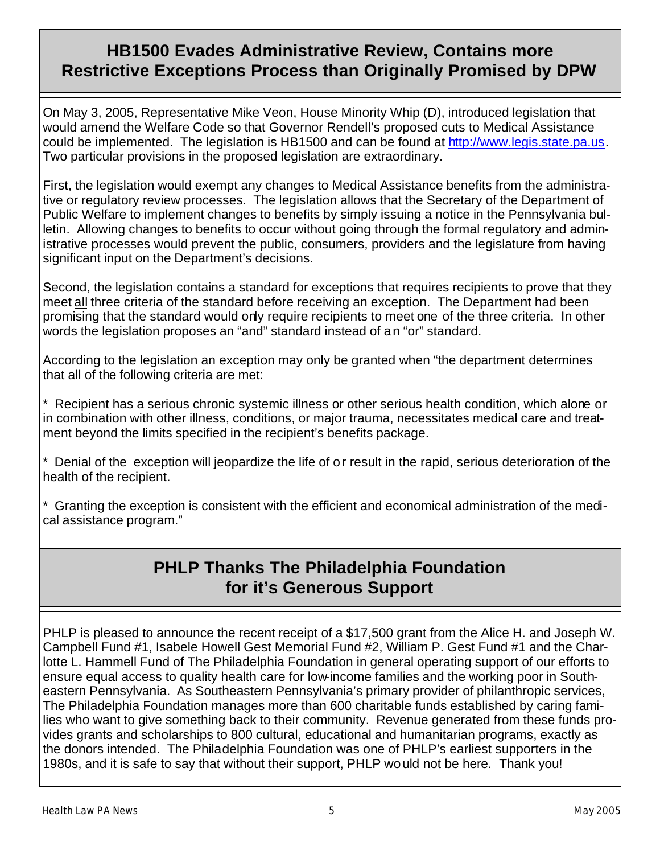### **HB1500 Evades Administrative Review, Contains more Restrictive Exceptions Process than Originally Promised by DPW**

On May 3, 2005, Representative Mike Veon, House Minority Whip (D), introduced legislation that would amend the Welfare Code so that Governor Rendell's proposed cuts to Medical Assistance could be implemented. The legislation is HB1500 and can be found at http://www.legis.state.pa.us. Two particular provisions in the proposed legislation are extraordinary.

First, the legislation would exempt any changes to Medical Assistance benefits from the administrative or regulatory review processes. The legislation allows that the Secretary of the Department of Public Welfare to implement changes to benefits by simply issuing a notice in the Pennsylvania bulletin. Allowing changes to benefits to occur without going through the formal regulatory and administrative processes would prevent the public, consumers, providers and the legislature from having significant input on the Department's decisions.

Second, the legislation contains a standard for exceptions that requires recipients to prove that they meet all three criteria of the standard before receiving an exception. The Department had been promising that the standard would only require recipients to meet one of the three criteria. In other words the legislation proposes an "and" standard instead of an "or" standard.

According to the legislation an exception may only be granted when "the department determines that all of the following criteria are met:

\* Recipient has a serious chronic systemic illness or other serious health condition, which alone or in combination with other illness, conditions, or major trauma, necessitates medical care and treatment beyond the limits specified in the recipient's benefits package.

\* Denial of the exception will jeopardize the life of or result in the rapid, serious deterioration of the health of the recipient.

\* Granting the exception is consistent with the efficient and economical administration of the medical assistance program."

### **PHLP Thanks The Philadelphia Foundation for it's Generous Support**

PHLP is pleased to announce the recent receipt of a \$17,500 grant from the Alice H. and Joseph W. Campbell Fund #1, Isabele Howell Gest Memorial Fund #2, William P. Gest Fund #1 and the Charlotte L. Hammell Fund of The Philadelphia Foundation in general operating support of our efforts to ensure equal access to quality health care for low-income families and the working poor in Southeastern Pennsylvania. As Southeastern Pennsylvania's primary provider of philanthropic services, The Philadelphia Foundation manages more than 600 charitable funds established by caring families who want to give something back to their community. Revenue generated from these funds provides grants and scholarships to 800 cultural, educational and humanitarian programs, exactly as the donors intended. The Philadelphia Foundation was one of PHLP's earliest supporters in the 1980s, and it is safe to say that without their support, PHLP would not be here. Thank you!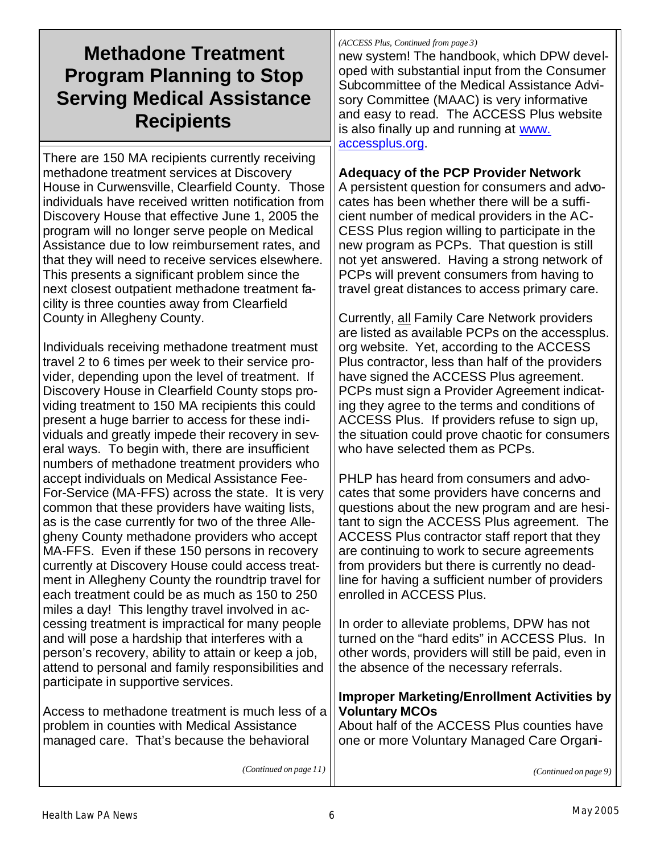### **Methadone Treatment Program Planning to Stop Serving Medical Assistance Recipients**

There are 150 MA recipients currently receiving methadone treatment services at Discovery House in Curwensville, Clearfield County. Those individuals have received written notification from Discovery House that effective June 1, 2005 the program will no longer serve people on Medical Assistance due to low reimbursement rates, and that they will need to receive services elsewhere. This presents a significant problem since the next closest outpatient methadone treatment facility is three counties away from Clearfield County in Allegheny County.

Individuals receiving methadone treatment must travel 2 to 6 times per week to their service provider, depending upon the level of treatment. If Discovery House in Clearfield County stops providing treatment to 150 MA recipients this could present a huge barrier to access for these individuals and greatly impede their recovery in several ways. To begin with, there are insufficient numbers of methadone treatment providers who accept individuals on Medical Assistance Fee-For-Service (MA-FFS) across the state. It is very common that these providers have waiting lists, as is the case currently for two of the three Allegheny County methadone providers who accept MA-FFS. Even if these 150 persons in recovery currently at Discovery House could access treatment in Allegheny County the roundtrip travel for each treatment could be as much as 150 to 250 miles a day! This lengthy travel involved in accessing treatment is impractical for many people and will pose a hardship that interferes with a person's recovery, ability to attain or keep a job, attend to personal and family responsibilities and participate in supportive services.

Access to methadone treatment is much less of a problem in counties with Medical Assistance managed care. That's because the behavioral

*(ACCESS Plus, Continued from page 3)*

new system! The handbook, which DPW developed with substantial input from the Consumer Subcommittee of the Medical Assistance Advisory Committee (MAAC) is very informative and easy to read. The ACCESS Plus website is also finally up and running at www. accessplus.org.

### **Adequacy of the PCP Provider Network**

A persistent question for consumers and advocates has been whether there will be a sufficient number of medical providers in the AC-CESS Plus region willing to participate in the new program as PCPs. That question is still not yet answered. Having a strong network of PCPs will prevent consumers from having to travel great distances to access primary care.

Currently, all Family Care Network providers are listed as available PCPs on the accessplus. org website. Yet, according to the ACCESS Plus contractor, less than half of the providers have signed the ACCESS Plus agreement. PCPs must sign a Provider Agreement indicating they agree to the terms and conditions of ACCESS Plus. If providers refuse to sign up, the situation could prove chaotic for consumers who have selected them as PCPs.

PHLP has heard from consumers and advocates that some providers have concerns and questions about the new program and are hesitant to sign the ACCESS Plus agreement. The ACCESS Plus contractor staff report that they are continuing to work to secure agreements from providers but there is currently no deadline for having a sufficient number of providers enrolled in ACCESS Plus.

In order to alleviate problems, DPW has not turned on the "hard edits" in ACCESS Plus. In other words, providers will still be paid, even in the absence of the necessary referrals.

### **Improper Marketing/Enrollment Activities by Voluntary MCOs**

About half of the ACCESS Plus counties have one or more Voluntary Managed Care Organi-

*(Continued on page 11)*

*(Continued on page 9)*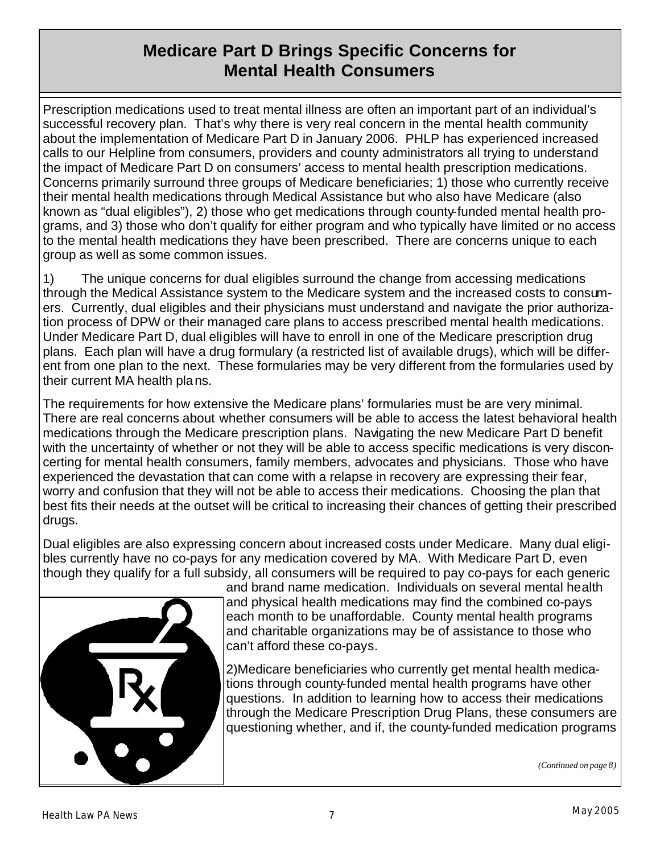### **Medicare Part D Brings Specific Concerns for Mental Health Consumers**

Prescription medications used to treat mental illness are often an important part of an individual's successful recovery plan. That's why there is very real concern in the mental health community about the implementation of Medicare Part D in January 2006. PHLP has experienced increased calls to our Helpline from consumers, providers and county administrators all trying to understand the impact of Medicare Part D on consumers' access to mental health prescription medications. Concerns primarily surround three groups of Medicare beneficiaries; 1) those who currently receive their mental health medications through Medical Assistance but who also have Medicare (also known as "dual eligibles"), 2) those who get medications through county-funded mental health programs, and 3) those who don't qualify for either program and who typically have limited or no access to the mental health medications they have been prescribed. There are concerns unique to each group as well as some common issues.

1) The unique concerns for dual eligibles surround the change from accessing medications through the Medical Assistance system to the Medicare system and the increased costs to consumers. Currently, dual eligibles and their physicians must understand and navigate the prior authorization process of DPW or their managed care plans to access prescribed mental health medications. Under Medicare Part D, dual eligibles will have to enroll in one of the Medicare prescription drug plans. Each plan will have a drug formulary (a restricted list of available drugs), which will be different from one plan to the next. These formularies may be very different from the formularies used by their current MA health plans.

The requirements for how extensive the Medicare plans' formularies must be are very minimal. There are real concerns about whether consumers will be able to access the latest behavioral health medications through the Medicare prescription plans. Navigating the new Medicare Part D benefit with the uncertainty of whether or not they will be able to access specific medications is very disconcerting for mental health consumers, family members, advocates and physicians. Those who have experienced the devastation that can come with a relapse in recovery are expressing their fear, worry and confusion that they will not be able to access their medications. Choosing the plan that best fits their needs at the outset will be critical to increasing their chances of getting their prescribed drugs.

Dual eligibles are also expressing concern about increased costs under Medicare. Many dual eligibles currently have no co-pays for any medication covered by MA. With Medicare Part D, even though they qualify for a full subsidy, all consumers will be required to pay co-pays for each generic



and brand name medication. Individuals on several mental health and physical health medications may find the combined co-pays each month to be unaffordable. County mental health programs and charitable organizations may be of assistance to those who can't afford these co-pays.

2)Medicare beneficiaries who currently get mental health medications through county-funded mental health programs have other questions. In addition to learning how to access their medications through the Medicare Prescription Drug Plans, these consumers are questioning whether, and if, the county-funded medication programs

*(Continued on page 8)*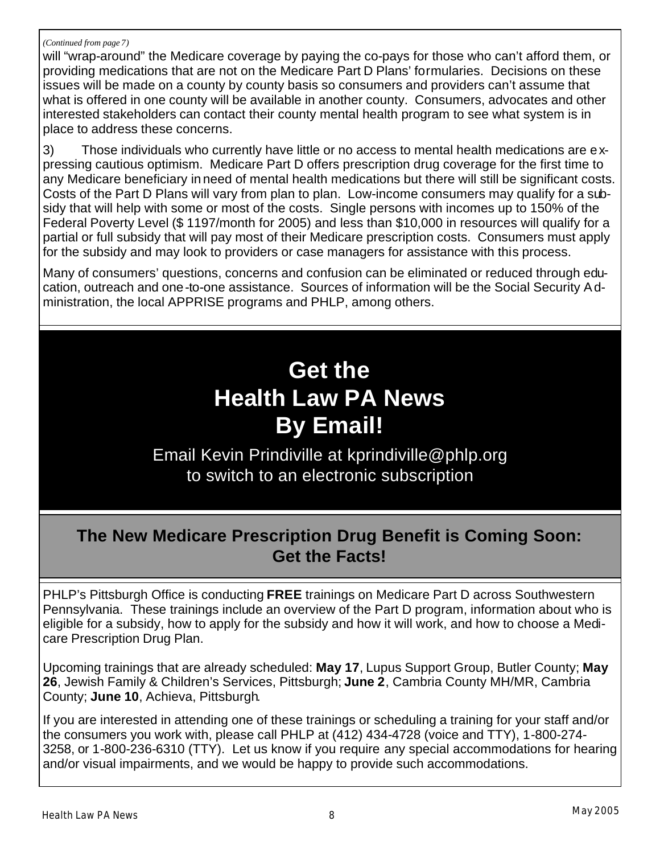#### *(Continued from page 7)*

will "wrap-around" the Medicare coverage by paying the co-pays for those who can't afford them, or providing medications that are not on the Medicare Part D Plans' formularies. Decisions on these issues will be made on a county by county basis so consumers and providers can't assume that what is offered in one county will be available in another county. Consumers, advocates and other interested stakeholders can contact their county mental health program to see what system is in place to address these concerns.

3) Those individuals who currently have little or no access to mental health medications are expressing cautious optimism. Medicare Part D offers prescription drug coverage for the first time to any Medicare beneficiary in need of mental health medications but there will still be significant costs. Costs of the Part D Plans will vary from plan to plan. Low-income consumers may qualify for a subsidy that will help with some or most of the costs. Single persons with incomes up to 150% of the Federal Poverty Level (\$ 1197/month for 2005) and less than \$10,000 in resources will qualify for a partial or full subsidy that will pay most of their Medicare prescription costs. Consumers must apply for the subsidy and may look to providers or case managers for assistance with this process.

Many of consumers' questions, concerns and confusion can be eliminated or reduced through education, outreach and one-to-one assistance. Sources of information will be the Social Security Administration, the local APPRISE programs and PHLP, among others.

### **Get the Health Law PA News By Email!**

Email Kevin Prindiville at kprindiville@phlp.org to switch to an electronic subscription

### **The New Medicare Prescription Drug Benefit is Coming Soon: Get the Facts!**

PHLP's Pittsburgh Office is conducting **FREE** trainings on Medicare Part D across Southwestern Pennsylvania. These trainings include an overview of the Part D program, information about who is eligible for a subsidy, how to apply for the subsidy and how it will work, and how to choose a Medicare Prescription Drug Plan.

Upcoming trainings that are already scheduled: **May 17**, Lupus Support Group, Butler County; **May 26**, Jewish Family & Children's Services, Pittsburgh; **June 2**, Cambria County MH/MR, Cambria County; **June 10**, Achieva, Pittsburgh.

If you are interested in attending one of these trainings or scheduling a training for your staff and/or the consumers you work with, please call PHLP at (412) 434-4728 (voice and TTY), 1-800-274- 3258, or 1-800-236-6310 (TTY). Let us know if you require any special accommodations for hearing and/or visual impairments, and we would be happy to provide such accommodations.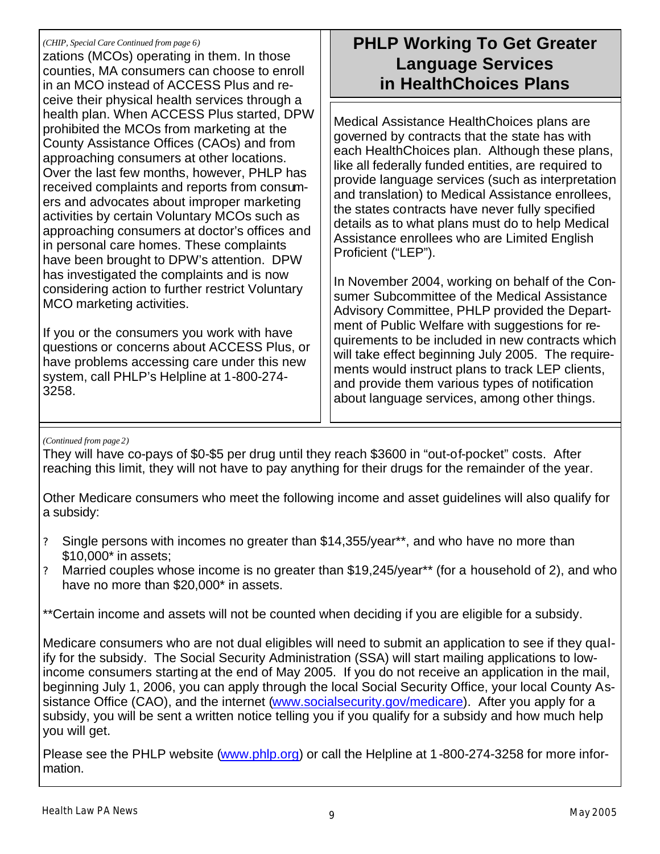#### *(CHIP, Special Care Continued from page 6)*

zations (MCOs) operating in them. In those counties, MA consumers can choose to enroll in an MCO instead of ACCESS Plus and receive their physical health services through a health plan. When ACCESS Plus started, DPW prohibited the MCOs from marketing at the County Assistance Offices (CAOs) and from approaching consumers at other locations. Over the last few months, however, PHLP has received complaints and reports from consumers and advocates about improper marketing activities by certain Voluntary MCOs such as approaching consumers at doctor's offices and in personal care homes. These complaints have been brought to DPW's attention. DPW has investigated the complaints and is now considering action to further restrict Voluntary MCO marketing activities.

If you or the consumers you work with have questions or concerns about ACCESS Plus, or have problems accessing care under this new system, call PHLP's Helpline at 1-800-274- 3258.

### **PHLP Working To Get Greater Language Services in HealthChoices Plans**

Medical Assistance HealthChoices plans are governed by contracts that the state has with each HealthChoices plan. Although these plans, like all federally funded entities, are required to provide language services (such as interpretation and translation) to Medical Assistance enrollees, the states contracts have never fully specified details as to what plans must do to help Medical Assistance enrollees who are Limited English Proficient ("LEP").

In November 2004, working on behalf of the Consumer Subcommittee of the Medical Assistance Advisory Committee, PHLP provided the Department of Public Welfare with suggestions for requirements to be included in new contracts which will take effect beginning July 2005. The requirements would instruct plans to track LEP clients, and provide them various types of notification about language services, among other things.

### *(Continued from page 2)*

They will have co-pays of \$0-\$5 per drug until they reach \$3600 in "out-of-pocket" costs. After reaching this limit, they will not have to pay anything for their drugs for the remainder of the year.

Other Medicare consumers who meet the following income and asset guidelines will also qualify for a subsidy:

- ? Single persons with incomes no greater than \$14,355/year\*\*, and who have no more than \$10,000\* in assets;
- ? Married couples whose income is no greater than \$19,245/year\*\* (for a household of 2), and who have no more than \$20,000\* in assets.

\*\*Certain income and assets will not be counted when deciding if you are eligible for a subsidy.

Medicare consumers who are not dual eligibles will need to submit an application to see if they qualify for the subsidy. The Social Security Administration (SSA) will start mailing applications to lowincome consumers starting at the end of May 2005. If you do not receive an application in the mail, beginning July 1, 2006, you can apply through the local Social Security Office, your local County Assistance Office (CAO), and the internet (www.socialsecurity.gov/medicare). After you apply for a subsidy, you will be sent a written notice telling you if you qualify for a subsidy and how much help you will get.

Please see the PHLP website (www.phlp.org) or call the Helpline at 1-800-274-3258 for more information.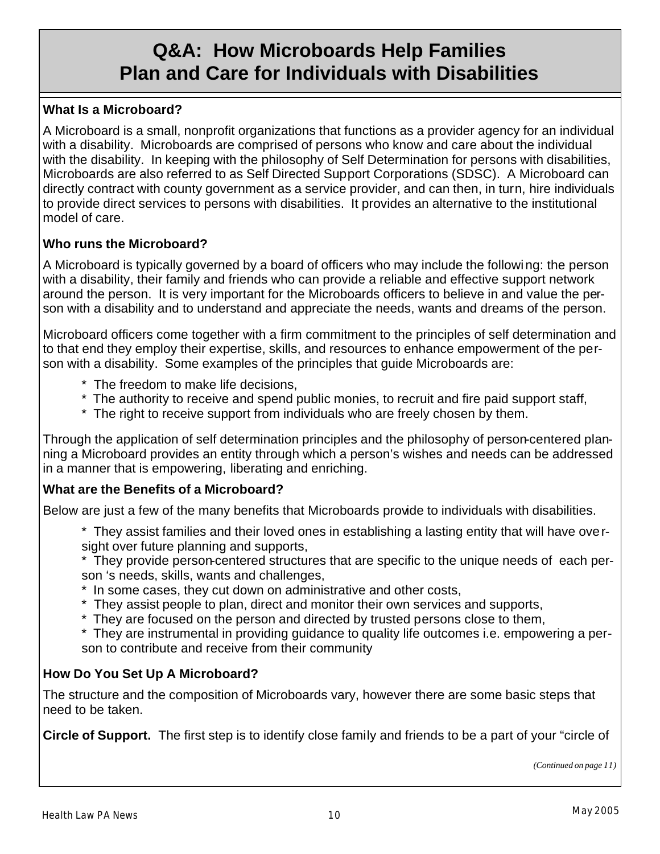### **Q&A: How Microboards Help Families Plan and Care for Individuals with Disabilities**

### **What Is a Microboard?**

A Microboard is a small, nonprofit organizations that functions as a provider agency for an individual with a disability. Microboards are comprised of persons who know and care about the individual with the disability. In keeping with the philosophy of Self Determination for persons with disabilities, Microboards are also referred to as Self Directed Support Corporations (SDSC). A Microboard can directly contract with county government as a service provider, and can then, in turn, hire individuals to provide direct services to persons with disabilities. It provides an alternative to the institutional model of care.

### **Who runs the Microboard?**

A Microboard is typically governed by a board of officers who may include the following: the person with a disability, their family and friends who can provide a reliable and effective support network around the person. It is very important for the Microboards officers to believe in and value the person with a disability and to understand and appreciate the needs, wants and dreams of the person.

Microboard officers come together with a firm commitment to the principles of self determination and to that end they employ their expertise, skills, and resources to enhance empowerment of the person with a disability. Some examples of the principles that guide Microboards are:

- \* The freedom to make life decisions,
- \* The authority to receive and spend public monies, to recruit and fire paid support staff,
- \* The right to receive support from individuals who are freely chosen by them.

Through the application of self determination principles and the philosophy of person-centered planning a Microboard provides an entity through which a person's wishes and needs can be addressed in a manner that is empowering, liberating and enriching.

### **What are the Benefits of a Microboard?**

Below are just a few of the many benefits that Microboards provide to individuals with disabilities.

 \* They assist families and their loved ones in establishing a lasting entity that will have oversight over future planning and supports,

 \* They provide person-centered structures that are specific to the unique needs of each person 's needs, skills, wants and challenges,

- \* In some cases, they cut down on administrative and other costs,
- \* They assist people to plan, direct and monitor their own services and supports,
- \* They are focused on the person and directed by trusted persons close to them,
- \* They are instrumental in providing guidance to quality life outcomes i.e. empowering a person to contribute and receive from their community

### **How Do You Set Up A Microboard?**

The structure and the composition of Microboards vary, however there are some basic steps that need to be taken.

**Circle of Support.** The first step is to identify close family and friends to be a part of your "circle of

*(Continued on page 11)*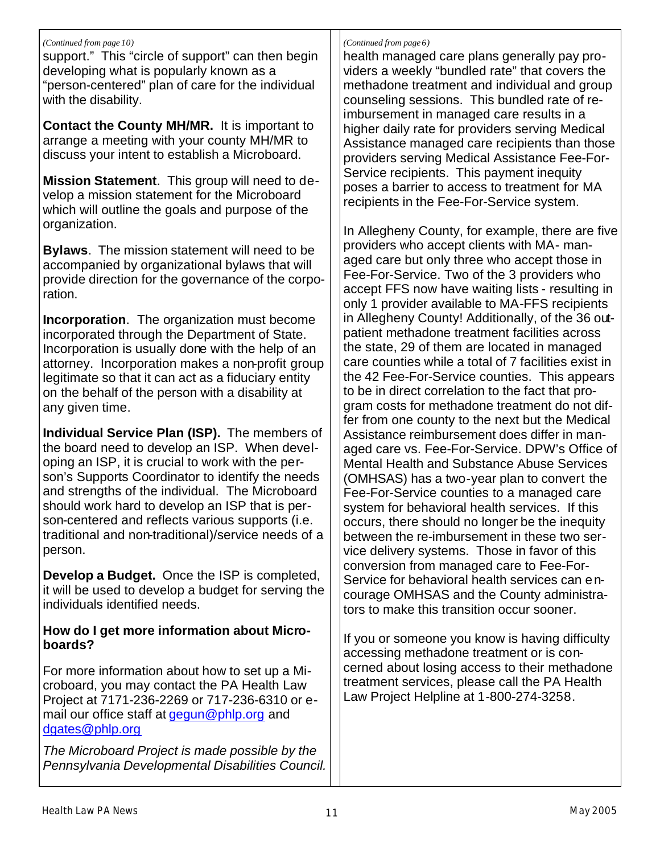### *(Continued from page 10)*

support." This "circle of support" can then begin developing what is popularly known as a "person-centered" plan of care for the individual with the disability.

**Contact the County MH/MR.** It is important to arrange a meeting with your county MH/MR to discuss your intent to establish a Microboard.

**Mission Statement**. This group will need to develop a mission statement for the Microboard which will outline the goals and purpose of the organization.

**Bylaws**. The mission statement will need to be accompanied by organizational bylaws that will provide direction for the governance of the corporation.

**Incorporation**. The organization must become incorporated through the Department of State. Incorporation is usually done with the help of an attorney. Incorporation makes a non-profit group legitimate so that it can act as a fiduciary entity on the behalf of the person with a disability at any given time.

**Individual Service Plan (ISP).** The members of the board need to develop an ISP. When developing an ISP, it is crucial to work with the person's Supports Coordinator to identify the needs and strengths of the individual. The Microboard should work hard to develop an ISP that is person-centered and reflects various supports (i.e. traditional and non-traditional)/service needs of a person.

**Develop a Budget.** Once the ISP is completed, it will be used to develop a budget for serving the individuals identified needs.

### **How do I get more information about Microboards?**

For more information about how to set up a Microboard, you may contact the PA Health Law Project at 7171-236-2269 or 717-236-6310 or email our office staff at gegun@phlp.org and dgates@phlp.org

*The Microboard Project is made possible by the Pennsylvania Developmental Disabilities Council.*

### *(Continued from page 6)*

health managed care plans generally pay providers a weekly "bundled rate" that covers the methadone treatment and individual and group counseling sessions. This bundled rate of reimbursement in managed care results in a higher daily rate for providers serving Medical Assistance managed care recipients than those providers serving Medical Assistance Fee-For-Service recipients. This payment inequity poses a barrier to access to treatment for MA recipients in the Fee-For-Service system.

In Allegheny County, for example, there are five providers who accept clients with MA- managed care but only three who accept those in Fee-For-Service. Two of the 3 providers who accept FFS now have waiting lists - resulting in only 1 provider available to MA-FFS recipients in Allegheny County! Additionally, of the 36 outpatient methadone treatment facilities across the state, 29 of them are located in managed care counties while a total of 7 facilities exist in the 42 Fee-For-Service counties. This appears to be in direct correlation to the fact that program costs for methadone treatment do not differ from one county to the next but the Medical Assistance reimbursement does differ in managed care vs. Fee-For-Service. DPW's Office of Mental Health and Substance Abuse Services (OMHSAS) has a two-year plan to convert the Fee-For-Service counties to a managed care system for behavioral health services. If this occurs, there should no longer be the inequity between the re-imbursement in these two service delivery systems. Those in favor of this conversion from managed care to Fee-For-Service for behavioral health services can encourage OMHSAS and the County administrators to make this transition occur sooner.

If you or someone you know is having difficulty accessing methadone treatment or is concerned about losing access to their methadone treatment services, please call the PA Health Law Project Helpline at 1-800-274-3258.